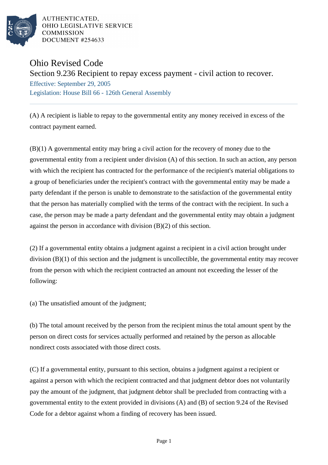

AUTHENTICATED, OHIO LEGISLATIVE SERVICE **COMMISSION** DOCUMENT #254633

## Ohio Revised Code

Section 9.236 Recipient to repay excess payment - civil action to recover.

Effective: September 29, 2005 Legislation: House Bill 66 - 126th General Assembly

(A) A recipient is liable to repay to the governmental entity any money received in excess of the contract payment earned.

(B)(1) A governmental entity may bring a civil action for the recovery of money due to the governmental entity from a recipient under division (A) of this section. In such an action, any person with which the recipient has contracted for the performance of the recipient's material obligations to a group of beneficiaries under the recipient's contract with the governmental entity may be made a party defendant if the person is unable to demonstrate to the satisfaction of the governmental entity that the person has materially complied with the terms of the contract with the recipient. In such a case, the person may be made a party defendant and the governmental entity may obtain a judgment against the person in accordance with division (B)(2) of this section.

(2) If a governmental entity obtains a judgment against a recipient in a civil action brought under division (B)(1) of this section and the judgment is uncollectible, the governmental entity may recover from the person with which the recipient contracted an amount not exceeding the lesser of the following:

(a) The unsatisfied amount of the judgment;

(b) The total amount received by the person from the recipient minus the total amount spent by the person on direct costs for services actually performed and retained by the person as allocable nondirect costs associated with those direct costs.

(C) If a governmental entity, pursuant to this section, obtains a judgment against a recipient or against a person with which the recipient contracted and that judgment debtor does not voluntarily pay the amount of the judgment, that judgment debtor shall be precluded from contracting with a governmental entity to the extent provided in divisions (A) and (B) of section 9.24 of the Revised Code for a debtor against whom a finding of recovery has been issued.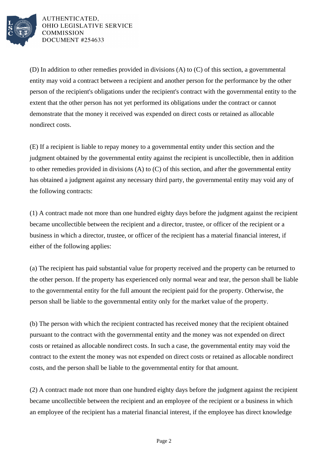

AUTHENTICATED, OHIO LEGISLATIVE SERVICE **COMMISSION** DOCUMENT #254633

(D) In addition to other remedies provided in divisions (A) to (C) of this section, a governmental entity may void a contract between a recipient and another person for the performance by the other person of the recipient's obligations under the recipient's contract with the governmental entity to the extent that the other person has not yet performed its obligations under the contract or cannot demonstrate that the money it received was expended on direct costs or retained as allocable nondirect costs.

(E) If a recipient is liable to repay money to a governmental entity under this section and the judgment obtained by the governmental entity against the recipient is uncollectible, then in addition to other remedies provided in divisions (A) to (C) of this section, and after the governmental entity has obtained a judgment against any necessary third party, the governmental entity may void any of the following contracts:

(1) A contract made not more than one hundred eighty days before the judgment against the recipient became uncollectible between the recipient and a director, trustee, or officer of the recipient or a business in which a director, trustee, or officer of the recipient has a material financial interest, if either of the following applies:

(a) The recipient has paid substantial value for property received and the property can be returned to the other person. If the property has experienced only normal wear and tear, the person shall be liable to the governmental entity for the full amount the recipient paid for the property. Otherwise, the person shall be liable to the governmental entity only for the market value of the property.

(b) The person with which the recipient contracted has received money that the recipient obtained pursuant to the contract with the governmental entity and the money was not expended on direct costs or retained as allocable nondirect costs. In such a case, the governmental entity may void the contract to the extent the money was not expended on direct costs or retained as allocable nondirect costs, and the person shall be liable to the governmental entity for that amount.

(2) A contract made not more than one hundred eighty days before the judgment against the recipient became uncollectible between the recipient and an employee of the recipient or a business in which an employee of the recipient has a material financial interest, if the employee has direct knowledge